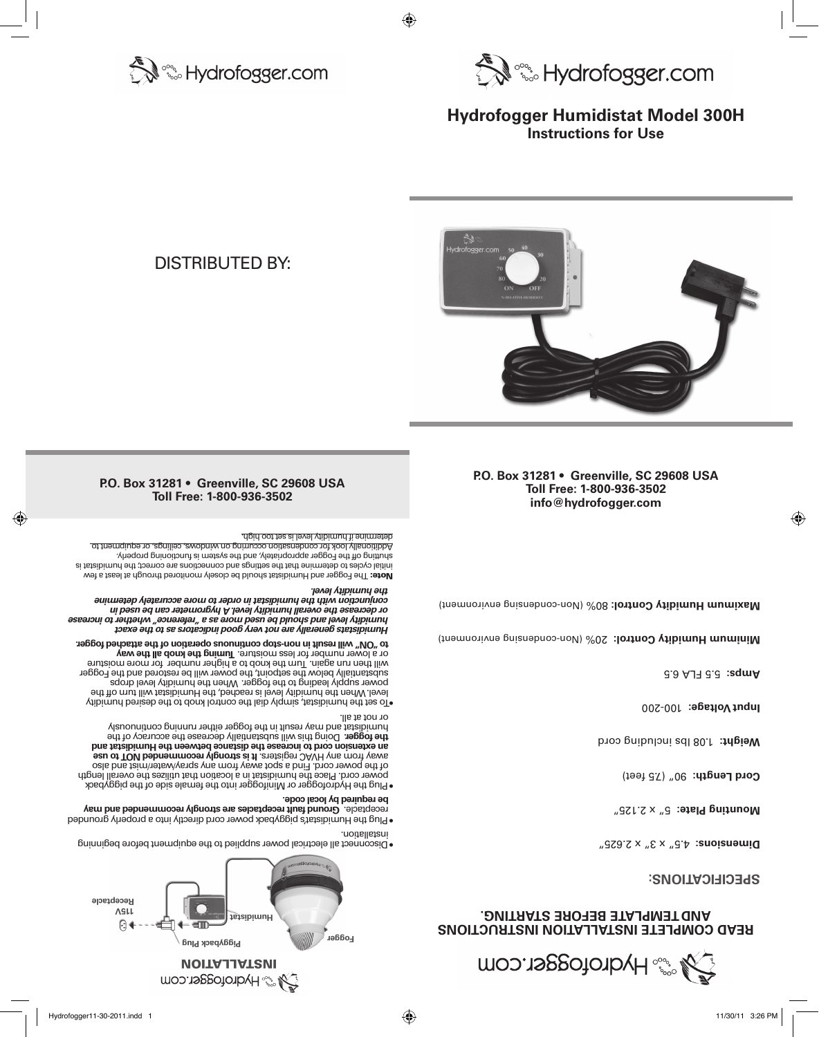

# **READ COMPLETE INSTALLATION INSTRUCTIONS AND TEMPLATE BEFORE STARTING.**

**SPECIFICATIONS:**

4.5" x 3" x 2.625" **Dimensions:** 

5" x 2.125" **Mounting Plate:**

Cord Length: 90" (75 feet)

1.08 lbs including cord **Weight:**

100-200 **Input Voltage:**

5.5 FLA 6.5 **Amps:**

Minimum Humidiron Control: **20% (Non-condentionment)** 20 Humidity Condent)

Maximum Humidity Control: 80% (Non-condensione periorit)

# **P.O. Box 31281 • Greenville, SC 29608 USA Toll Free: 1-800-936-3502 info@hydrofogger.com**



DIsTRIBUTED BY:

**P.O. Box 31281 • Greenville, SC 29608 USA Toll Free: 1-800-936-3502**

• Disconnect all electrical power supplied to the equipment before beginning

 **Humidistat**

**VOITALLATION** 

**Monder State Com** 

**Piggyback Plug** 

em

**115V Receptacle**

 $\Theta$ 

• Plug the Humidistat's piggyback power cord directly into a properly grounded **Group fault recepts of example are strongly recommended and may lead** 

• Plug the Hydrofogger or Minifogger into the female side of the piggyback power cord. Place the humidistat in a location that utilizes the overall length oels bns teim/teting ay the mort yews toqe s bni<sup>-1</sup>. broo tewoq ent to lost any term and also the mort yews as  **an extension cord to increase the distance between the Humidistat and**  the todder. Doing this will substantially decrease the accuracy of the humidistat and may result in the fogger either rannung continuously

• To set the humidistat, simply dial the control knob to the desired humidity level. When the humidity level is reached, the Humidistat will turn off the power supply leading to the fogger. When the humidity level drops substantially below the setpoint, the power will be restored and the Fogger will then run again. Turn the knob to a higher number for more moisture or a lower number for less moisture. Turning the knob all the way  **to "ON" will result in non-stop continuous operation of the attached fogger.**

*istats generally are not very good indicators as to the exact mid Hu humidity level and should be used more as a "reference" whether to increase or decrease the overall humidity level. A hygrometer can be used in conjunction with the humidistat in order to more accurately determine* 

The Fogger and Humidistat should be closely monitored through at least a few initial cycles to determine that the settings and connections are correct; the humidistat is shutting off the Fogger appropriately, and the system is functioning properly. Additionally look for condensation occurring on windows, ceilings, or equipment to

installation.

or not at all.

*. the humidity level*

determine if humidity level is set too high.

 **be required by local code.** 

 **Fogger** 







# **Hydrofogger Humidistat Model 300H Instructions for Use**